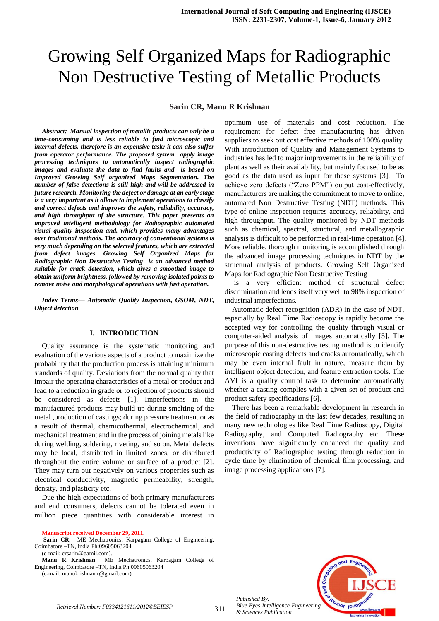#### **Sarin CR, Manu R Krishnan**

*Abstract: Manual inspection of metallic products can only be a time-consuming and is less reliable to find microscopic and internal defects, therefore is an expensive task; it can also suffer from operator performance. The proposed system apply image processing techniques to automatically inspect radiographic images and evaluate the data to find faults and is based on Improved Growing Self organized Maps Segmentation. The number of false detections is still high and will be addressed in future research. Monitoring the defect or damage at an early stage is a very important as it allows to implement operations to classify and correct defects and improves the safety, reliability, accuracy, and high throughput of the structure. This paper presents an improved intelligent methodology for Radiographic automated visual quality inspection and, which provides many advantages over traditional methods. The accuracy of conventional systems is very much depending on the selected features, which are extracted from defect images. Growing Self Organized Maps for Radiographic Non Destructive Testing is an advanced method suitable for crack detection, which gives a smoothed image to obtain uniform brightness, followed by removing isolated points to remove noise and morphological operations with fast operation.* 

*Index Terms— Automatic Quality Inspection, GSOM, NDT, Object detection* 

#### **I. INTRODUCTION**

Quality assurance is the systematic monitoring and evaluation of the various aspects of a product to maximize the probability that the production process is attaining minimum standards of quality. Deviations from the normal quality that impair the operating characteristics of a metal or product and lead to a reduction in grade or to rejection of products should be considered as defects [1]. Imperfections in the manufactured products may build up during smelting of the metal ,production of castings; during pressure treatment or as a result of thermal, chemicothermal, electrochemical, and mechanical treatment and in the process of joining metals like during welding, soldering, riveting, and so on. Metal defects may be local, distributed in limited zones, or distributed throughout the entire volume or surface of a product [2]. They may turn out negatively on various properties such as electrical conductivity, magnetic permeability, strength, density, and plasticity etc.

Due the high expectations of both primary manufacturers and end consumers, defects cannot be tolerated even in million piece quantities with considerable interest in

**Manuscript received December 29, 2011**.

Sarin CR, ME Mechatronics, Karpagam College of Engineering, Coimbatore –TN, India Ph:09605063204

(e-mail: crsarin@gamil.com).

**Manu R Krishnan** ME Mechatronics, Karpagam College of Engineering, Coimbatore –TN, India Ph:09605063204

(e-mail: manukrishnan.r@gmail.com)

optimum use of materials and cost reduction. The requirement for defect free manufacturing has driven suppliers to seek out cost effective methods of 100% quality. With introduction of Quality and Management Systems to industries has led to major improvements in the reliability of plant as well as their availability, but mainly focused to be as good as the data used as input for these systems [3]. To achieve zero defects ("Zero PPM") output cost-effectively, manufacturers are making the commitment to move to online, automated Non Destructive Testing (NDT) methods. This type of online inspection requires accuracy, reliability, and high throughput. The quality monitored by NDT methods such as chemical, spectral, structural, and metallographic analysis is difficult to be performed in real-time operation [4]. More reliable, thorough monitoring is accomplished through the advanced image processing techniques in NDT by the structural analysis of products. Growing Self Organized Maps for Radiographic Non Destructive Testing

is a very efficient method of structural defect discrimination and lends itself very well to 98% inspection of industrial imperfections.

Automatic defect recognition (ADR) in the case of NDT, especially by Real Time Radioscopy is rapidly become the accepted way for controlling the quality through visual or computer-aided analysis of images automatically [5]. The purpose of this non-destructive testing method is to identify microscopic casting defects and cracks automatically, which may be even internal fault in nature, measure them by intelligent object detection, and feature extraction tools. The AVI is a quality control task to determine automatically whether a casting complies with a given set of product and product safety specifications [6].

There has been a remarkable development in research in the field of radiography in the last few decades, resulting in many new technologies like Real Time Radioscopy, Digital Radiography, and Computed Radiography etc. These inventions have significantly enhanced the quality and productivity of Radiographic testing through reduction in cycle time by elimination of chemical film processing, and image processing applications [7].



*Blue Eyes Intelligence Engineering & Sciences Publication* 

*Published By:*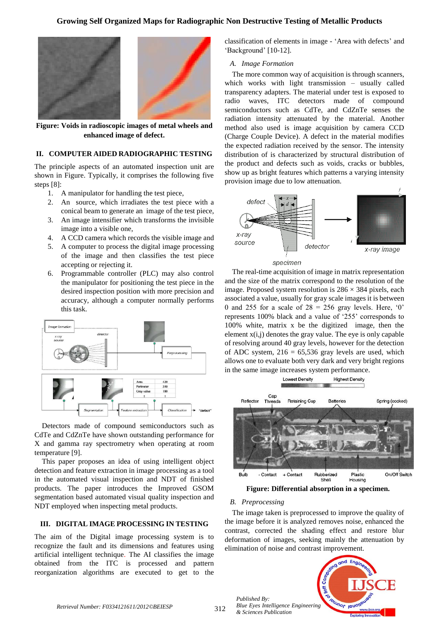

**Figure: Voids in radioscopic images of metal wheels and enhanced image of defect.**

## **II. COMPUTER AIDED RADIOGRAPHIC TESTING**

The principle aspects of an automated inspection unit are shown in Figure. Typically, it comprises the following five steps [8]:

- 1. A manipulator for handling the test piece,
- 2. An source, which irradiates the test piece with a conical beam to generate an image of the test piece,
- 3. An image intensifier which transforms the invisible image into a visible one,
- 4. A CCD camera which records the visible image and
- 5. A computer to process the digital image processing of the image and then classifies the test piece accepting or rejecting it.
- 6. Programmable controller (PLC) may also control the manipulator for positioning the test piece in the desired inspection position with more precision and accuracy, although a computer normally performs this task.



Detectors made of compound semiconductors such as CdTe and CdZnTe have shown outstanding performance for X and gamma ray spectrometry when operating at room temperature [9].

This paper proposes an idea of using intelligent object detection and feature extraction in image processing as a tool in the automated visual inspection and NDT of finished products. The paper introduces the Improved GSOM segmentation based automated visual quality inspection and NDT employed when inspecting metal products.

#### **III. DIGITAL IMAGE PROCESSING IN TESTING**

The aim of the Digital image processing system is to recognize the fault and its dimensions and features using artificial intelligent technique*.* The AI classifies the image obtained from the ITC is processed and pattern reorganization algorithms are executed to get to the classification of elements in image - 'Area with defects' and 'Background' [10-12].

#### *A. Image Formation*

The more common way of acquisition is through scanners, which works with light transmission – usually called transparency adapters. The material under test is exposed to radio waves, ITC detectors made of compound semiconductors such as CdTe, and CdZnTe senses the radiation intensity attenuated by the material. Another method also used is image acquisition by camera CCD (Charge Couple Device). A defect in the material modifies the expected radiation received by the sensor. The intensity distribution of is characterized by structural distribution of the product and defects such as voids, cracks or bubbles, show up as bright features which patterns a varying intensity provision image due to low attenuation.





The real-time acquisition of image in matrix representation and the size of the matrix correspond to the resolution of the image. Proposed system resolution is  $286 \times 384$  pixels, each associated a value, usually for gray scale images it is between 0 and 255 for a scale of  $28 = 256$  gray levels. Here, '0' represents 100% black and a value of '255' corresponds to 100% white, matrix x be the digitized image, then the element  $x(i,j)$  denotes the gray value. The eye is only capable of resolving around 40 gray levels, however for the detection of ADC system,  $216 = 65,536$  gray levels are used, which allows one to evaluate both very dark and very bright regions in the same image increases system performance.



**Figure: Differential absorption in a specimen.**

#### *B. Preprocessing*

*Published By:*

*& Sciences Publication* 

The image taken is preprocessed to improve the quality of the image before it is analyzed removes noise, enhanced the contrast, corrected the shading effect and restore blur deformation of images, seeking mainly the attenuation by elimination of noise and contrast improvement.

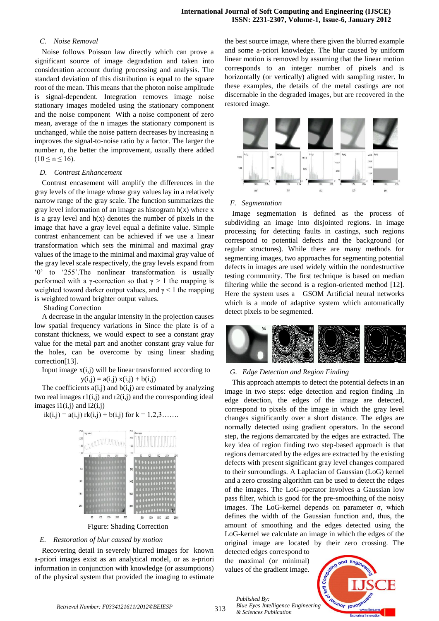#### *C. Noise Removal*

Noise follows Poisson law directly which can prove a significant source of image degradation and taken into consideration account during processing and analysis. The standard deviation of this distribution is equal to the square root of the mean. This means that the photon noise amplitude is signal-dependent. Integration removes image noise stationary images modeled using the stationary component and the noise component With a noise component of zero mean, average of the n images the stationary component is unchanged, while the noise pattern decreases by increasing n improves the signal-to-noise ratio by a factor. The larger the number n, the better the improvement, usually there added  $(10 \le n \le 16)$ .

#### *D. Contrast Enhancement*

Contrast encasement will amplify the differences in the gray levels of the image whose gray values lay in a relatively narrow range of the gray scale. The function summarizes the gray level information of an image as histogram  $h(x)$  where x is a gray level and  $h(x)$  denotes the number of pixels in the image that have a gray level equal a definite value. Simple contrast enhancement can be achieved if we use a linear transformation which sets the minimal and maximal gray values of the image to the minimal and maximal gray value of the gray level scale respectively, the gray levels expand from '0' to '255'.The nonlinear transformation is usually performed with a γ-correction so that  $γ > 1$  the mapping is weighted toward darker output values, and  $\gamma$  < 1 the mapping is weighted toward brighter output values.

Shading Correction

A decrease in the angular intensity in the projection causes low spatial frequency variations in Since the plate is of a constant thickness, we would expect to see a constant gray value for the metal part and another constant gray value for the holes, can be overcome by using linear shading correction[13].

Input image  $x(i,j)$  will be linear transformed according to  $y(i,j) = a(i,j) x(i,j) + b(i,j)$ 

The coefficients  $a(i,j)$  and  $b(i,j)$  are estimated by analyzing two real images  $r1(i,j)$  and  $r2(i,j)$  and the corresponding ideal images  $i1(i,j)$  and  $i2(i,j)$ 





## *E. Restoration of blur caused by motion*

Recovering detail in severely blurred images for known a-priori images exist as an analytical model, or as a-priori information in conjunction with knowledge (or assumptions) of the physical system that provided the imaging to estimate

the best source image, where there given the blurred example and some a-priori knowledge. The blur caused by uniform linear motion is removed by assuming that the linear motion corresponds to an integer number of pixels and is horizontally (or vertically) aligned with sampling raster. In these examples, the details of the metal castings are not discernable in the degraded images, but are recovered in the restored image.



#### *F. Segmentation*

Image segmentation is defined as the process of subdividing an image into disjointed regions. In image processing for detecting faults in castings, such regions correspond to potential defects and the background (or regular structures). While there are many methods for segmenting images, two approaches for segmenting potential defects in images are used widely within the nondestructive testing community. The first technique is based on median filtering while the second is a region-oriented method [12]. Here the system uses a GSOM Artificial neural networks which is a mode of adaptive system which automatically detect pixels to be segmented.



#### *G. Edge Detection and Region Finding*

This approach attempts to detect the potential defects in an image in two steps: edge detection and region finding .In edge detection, the edges of the image are detected, correspond to pixels of the image in which the gray level changes significantly over a short distance. The edges are normally detected using gradient operators. In the second step, the regions demarcated by the edges are extracted. The key idea of region finding two step-based approach is that regions demarcated by the edges are extracted by the existing defects with present significant gray level changes compared to their surroundings. A Laplacian of Gaussian (LoG) kernel and a zero crossing algorithm can be used to detect the edges of the images. The LoG-operator involves a Gaussian low pass filter, which is good for the pre-smoothing of the noisy images. The LoG-kernel depends on parameter σ, which defines the width of the Gaussian function and, thus, the amount of smoothing and the edges detected using the LoG-kernel we calculate an image in which the edges of the original image are located by their zero crossing. The

detected edges correspond to the maximal (or minimal) values of the gradient image.

*& Sciences Publication* 

*Published By:*

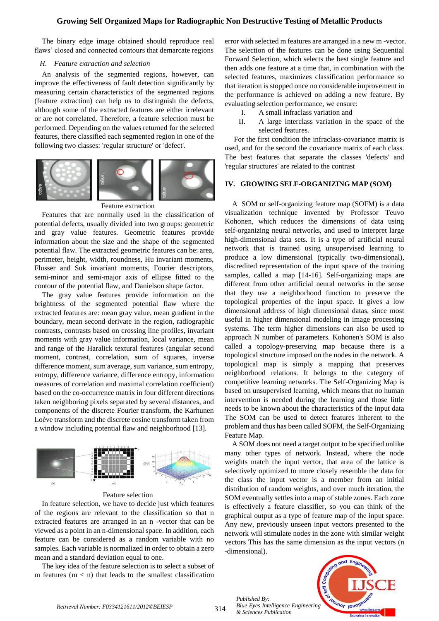The binary edge image obtained should reproduce real flaws' closed and connected contours that demarcate regions

#### *H. Feature extraction and selection*

An analysis of the segmented regions, however, can improve the effectiveness of fault detection significantly by measuring certain characteristics of the segmented regions (feature extraction) can help us to distinguish the defects, although some of the extracted features are either irrelevant or are not correlated. Therefore, a feature selection must be performed. Depending on the values returned for the selected features, there classified each segmented region in one of the following two classes: 'regular structure' or 'defect'.



Feature extraction

Features that are normally used in the classification of potential defects, usually divided into two groups: geometric and gray value features. Geometric features provide information about the size and the shape of the segmented potential flaw. The extracted geometric features can be: area, perimeter, height, width, roundness, Hu invariant moments, Flusser and Suk invariant moments, Fourier descriptors, semi-minor and semi-major axis of ellipse fitted to the contour of the potential flaw, and Danielson shape factor.

The gray value features provide information on the brightness of the segmented potential flaw where the extracted features are: mean gray value, mean gradient in the boundary, mean second derivate in the region, radiographic contrasts, contrasts based on crossing line profiles, invariant moments with gray value information, local variance, mean and range of the Haralick textural features (angular second moment, contrast, correlation, sum of squares, inverse difference moment, sum average, sum variance, sum entropy, entropy, difference variance, difference entropy, information measures of correlation and maximal correlation coefficient) based on the co-occurrence matrix in four different directions taken neighboring pixels separated by several distances, and components of the discrete Fourier transform, the Karhunen Loève transform and the discrete cosine transform taken from a window including potential flaw and neighborhood [13].



#### Feature selection

In feature selection, we have to decide just which features of the regions are relevant to the classification so that n extracted features are arranged in an n -vector that can be viewed as a point in an n-dimensional space. In addition, each feature can be considered as a random variable with no samples. Each variable is normalized in order to obtain a zero mean and a standard deviation equal to one.

The key idea of the feature selection is to select a subset of m features  $(m < n)$  that leads to the smallest classification error with selected m features are arranged in a new m -vector. The selection of the features can be done using Sequential Forward Selection, which selects the best single feature and then adds one feature at a time that, in combination with the selected features, maximizes classification performance so that iteration is stopped once no considerable improvement in the performance is achieved on adding a new feature. By evaluating selection performance, we ensure:

- I. A small infraclass variation and
- II. A large interclass variation in the space of the selected features.

For the first condition the infraclass-covariance matrix is used, and for the second the covariance matrix of each class. The best features that separate the classes 'defects' and 'regular structures' are related to the contrast

#### **IV. GROWING SELF-ORGANIZING MAP (SOM)**

A SOM or self-organizing feature map (SOFM) is a data visualization technique invented by Professor Teuvo Kohonen, which reduces the dimensions of data using self-organizing neural networks, and used to interpret large high-dimensional data sets. It is a type of artificial neural network that is trained using unsupervised learning to produce a low dimensional (typically two-dimensional), discredited representation of the input space of the training samples, called a map [14-16]. Self-organizing maps are different from other artificial neural networks in the sense that they use a neighborhood function to preserve the topological properties of the input space. It gives a low dimensional address of high dimensional datas, since most useful in higher dimensional modeling in image processing systems. The term higher dimensions can also be used to approach N number of parameters. Kohonen's SOM is also called a topology-preserving map because there is a topological structure imposed on the nodes in the network. A topological map is simply a mapping that preserves neighborhood relations. It belongs to the category of competitive learning networks. The Self-Organizing Map is based on unsupervised learning, which means that no human intervention is needed during the learning and those little needs to be known about the characteristics of the input data The SOM can be used to detect features inherent to the problem and thus has been called SOFM, the Self-Organizing Feature Map.

A SOM does not need a target output to be specified unlike many other types of network. Instead, where the node weights match the input vector, that area of the lattice is selectively optimized to more closely resemble the data for the class the input vector is a member from an initial distribution of random weights, and over much iteration, the SOM eventually settles into a map of stable zones. Each zone is effectively a feature classifier, so you can think of the graphical output as a type of feature map of the input space. Any new, previously unseen input vectors presented to the network will stimulate nodes in the zone with similar weight vectors This has the same dimension as the input vectors (n -dimensional).

**DUNIOT IDUOT** 

*Published By: Blue Eyes Intelligence Engineering & Sciences Publication*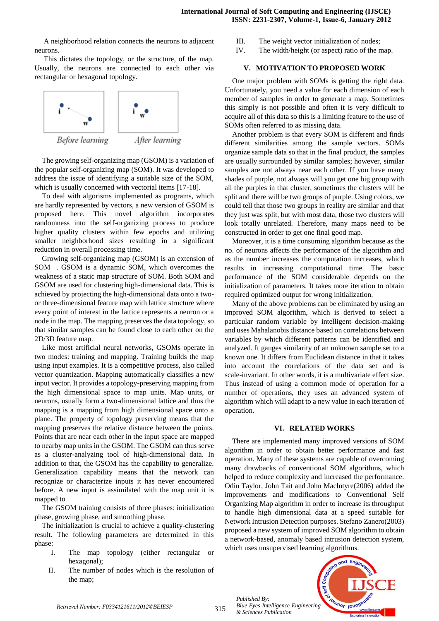A neighborhood relation connects the neurons to adjacent neurons.

This dictates the topology, or the structure, of the map. Usually, the neurons are connected to each other via rectangular or hexagonal topology.



The growing self-organizing map (GSOM) is a variation of the popular self-organizing map (SOM). It was developed to address the issue of identifying a suitable size of the SOM,

which is usually concerned with vectorial items [17-18]. To deal with algorisms implemented as programs, which are hardly represented by vectors, a new version of GSOM is proposed here. This novel algorithm incorporates randomness into the self-organizing process to produce higher quality clusters within few epochs and utilizing smaller neighborhood sizes resulting in a significant reduction in overall processing time.

Growing self-organizing map (GSOM) is an extension of SOM . GSOM is a dynamic SOM, which overcomes the weakness of a static map structure of SOM. Both SOM and GSOM are used for clustering high-dimensional data. This is achieved by projecting the high-dimensional data onto a twoor three-dimensional feature map with lattice structure where every point of interest in the lattice represents a neuron or a node in the map. The mapping preserves the data topology, so that similar samples can be found close to each other on the 2D/3D feature map.

Like most artificial neural networks, GSOMs operate in two modes: training and mapping. Training builds the map using input examples. It is a competitive process, also called vector quantization. Mapping automatically classifies a new input vector. It provides a topology-preserving mapping from the high dimensional space to map units. Map units, or neurons, usually form a two-dimensional lattice and thus the mapping is a mapping from high dimensional space onto a plane. The property of topology preserving means that the mapping preserves the relative distance between the points. Points that are near each other in the input space are mapped to nearby map units in the GSOM. The GSOM can thus serve as a cluster-analyzing tool of high-dimensional data. In addition to that, the GSOM has the capability to generalize. Generalization capability means that the network can recognize or characterize inputs it has never encountered before. A new input is assimilated with the map unit it is mapped to

The GSOM training consists of three phases: initialization phase, growing phase, and smoothing phase.

The initialization is crucial to achieve a quality-clustering result. The following parameters are determined in this phase:

- I. The map topology (either rectangular or hexagonal);
- II. The number of nodes which is the resolution of the map;
- III. The weight vector initialization of nodes;
- IV. The width/height (or aspect) ratio of the map.

# **V. MOTIVATION TO PROPOSED WORK**

One major problem with SOMs is getting the right data. Unfortunately, you need a value for each dimension of each member of samples in order to generate a map. Sometimes this simply is not possible and often it is very difficult to acquire all of this data so this is a limiting feature to the use of SOMs often referred to as missing data.

Another problem is that every SOM is different and finds different similarities among the sample vectors. SOMs organize sample data so that in the final product, the samples are usually surrounded by similar samples; however, similar samples are not always near each other. If you have many shades of purple, not always will you get one big group with all the purples in that cluster, sometimes the clusters will be split and there will be two groups of purple. Using colors, we could tell that those two groups in reality are similar and that they just was split, but with most data, those two clusters will look totally unrelated. Therefore, many maps need to be constructed in order to get one final good map.

Moreover, it is a time consuming algorithm because as the no. of neurons affects the performance of the algorithm and as the number increases the computation increases, which results in increasing computational time. The basic performance of the SOM considerable depends on the initialization of parameters. It takes more iteration to obtain required optimized output for wrong initialization.

Many of the above problems can be eliminated by using an improved SOM algorithm, which is derived to select a particular random variable by intelligent decision-making and uses Mahalanobis distance based on correlations between variables by which different patterns can be identified and analyzed. It gauges similarity of an unknown sample set to a known one. It differs from Euclidean distance in that it takes into account the correlations of the data set and is scale-invariant. In other words, it is a multivariate effect size. Thus instead of using a common mode of operation for a number of operations, they uses an advanced system of algorithm which will adapt to a new value in each iteration of operation.

# **VI. RELATED WORKS**

There are implemented many improved versions of SOM algorithm in order to obtain better performance and fast operation. Many of these systems are capable of overcoming many drawbacks of conventional SOM algorithms, which helped to reduce complexity and increased the performance. Odin Taylor, John Tait and John Maclntyre(2006) added the improvements and modifications to Conventional Self Organizing Map algorithm in order to increase its throughput to handle high dimensional data at a speed suitable for Network Intrusion Detection purposes. Stefano Zanero(2003) proposed a new system of improved SOM algorithm to obtain a network-based, anomaly based intrusion detection system, which uses unsupervised learning algorithms.

Journot long

*Published By: Blue Eyes Intelligence Engineering & Sciences Publication*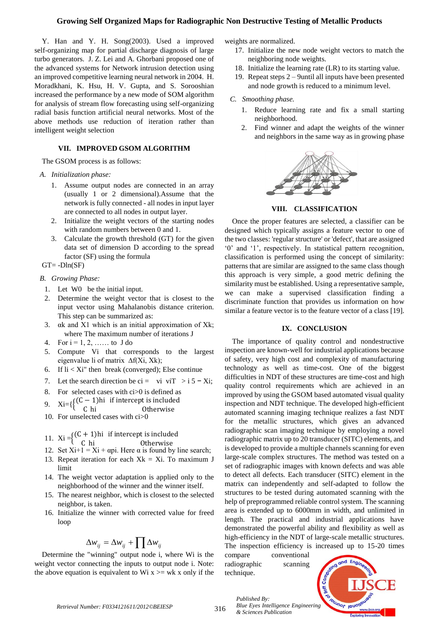Y. Han and Y. H. Song(2003). Used a improved self-organizing map for partial discharge diagnosis of large turbo generators. J. Z. Lei and A. Ghorbani proposed one of the advanced systems for Network intrusion detection using an improved competitive learning neural network in 2004. H. Moradkhani, K. Hsu, H. V. Gupta, and S. Sorooshian increased the performance by a new mode of SOM algorithm for analysis of stream flow forecasting using self-organizing radial basis function artificial neural networks. Most of the above methods use reduction of iteration rather than intelligent weight selection

# **VII. IMPROVED GSOM ALGORITHM**

The GSOM process is as follows:

#### *A. Initialization phase:*

- 1. Assume output nodes are connected in an array (usually 1 or 2 dimensional).Assume that the network is fully connected - all nodes in input layer are connected to all nodes in output layer.
- 2. Initialize the weight vectors of the starting nodes with random numbers between 0 and 1.
- 3. Calculate the growth threshold (GT) for the given data set of dimension D according to the spread factor (SF) using the formula

 $GT = -Dln(SF)$ 

#### *B. Growing Phase:*

- 1. Let W0 be the initial input.
- 2. Determine the weight vector that is closest to the input vector using Mahalanobis distance criterion. This step can be summarized as:
- 3. αk and X1 which is an initial approximation of Xk; where The maximum number of iterations J
- 4. For  $i = 1, 2, \ldots$  to J do
- 5. Compute Vi that corresponds to the largest eigenvalue li of matrix ∆f(Xi, Xk);
- 6. If  $\text{li} < \text{Xi}^*$  then break (converged); Else continue
- 7. Let the search direction be ci = vi viT > i 5  $-$  Xi;
- 8. For selected cases with ci>0 is defined as
- 9.  $Xi={\}$
- C
- 10. For unselected cases with ci>0
- 11. Xi =  $\{$ <sup>(</sup>
- C
- 12. Set  $Xi + 1 = Xi + \alpha pi$ . Here  $\alpha$  is found by line search;
- 13. Repeat iteration for each  $Xk = Xi$ . To maximum J limit
- 14. The weight vector adaptation is applied only to the neighborhood of the winner and the winner itself.
- 15. The nearest neighbor, which is closest to the selected neighbor, is taken.
- 16. Initialize the winner with corrected value for freed loop

# $\Delta w_{ij} = \Delta w_{ij} + \prod \Delta w_{ij}$

Determine the "winning" output node i, where Wi is the weight vector connecting the inputs to output node i. Note: the above equation is equivalent to Wi  $x \geq w$  wk x only if the weights are normalized.

- 17. Initialize the new node weight vectors to match the neighboring node weights.
- 18. Initialize the learning rate (LR) to its starting value.
- 19. Repeat steps 2 9until all inputs have been presented and node growth is reduced to a minimum level.

#### *C. Smoothing phase.*

- 1. Reduce learning rate and fix a small starting neighborhood.
- 2. Find winner and adapt the weights of the winner and neighbors in the same way as in growing phase



**VIII. CLASSIFICATION**

Once the proper features are selected, a classifier can be designed which typically assigns a feature vector to one of the two classes: 'regular structure' or 'defect', that are assigned '0' and '1', respectively. In statistical pattern recognition, classification is performed using the concept of similarity: patterns that are similar are assigned to the same class though this approach is very simple, a good metric defining the similarity must be established. Using a representative sample, we can make a supervised classification finding a discriminate function that provides us information on how similar a feature vector is to the feature vector of a class [19].

#### **IX. CONCLUSION**

The importance of quality control and nondestructive inspection are known-well for industrial applications because of safety, very high cost and complexity of manufacturing technology as well as time-cost. One of the biggest difficulties in NDT of these structures are time-cost and high quality control requirements which are achieved in an improved by using the GSOM based automated visual quality inspection and NDT technique. The developed high-efficient automated scanning imaging technique realizes a fast NDT for the metallic structures, which gives an advanced radiographic scan imaging technique by employing a novel radiographic matrix up to 20 transducer (SITC) elements, and is developed to provide a multiple channels scanning for even large-scale complex structures. The method was tested on a set of radiographic images with known defects and was able to detect all defects. Each transducer (SITC) element in the matrix can independently and self-adapted to follow the structures to be tested during automated scanning with the help of preprogrammed reliable control system. The scanning area is extended up to 6000mm in width, and unlimited in length. The practical and industrial applications have demonstrated the powerful ability and flexibility as well as high-efficiency in the NDT of large-scale metallic structures. The inspection efficiency is increased up to 15-20 times

compare conventional radiographic scanning technique.

*& Sciences Publication* 

*Published By:*